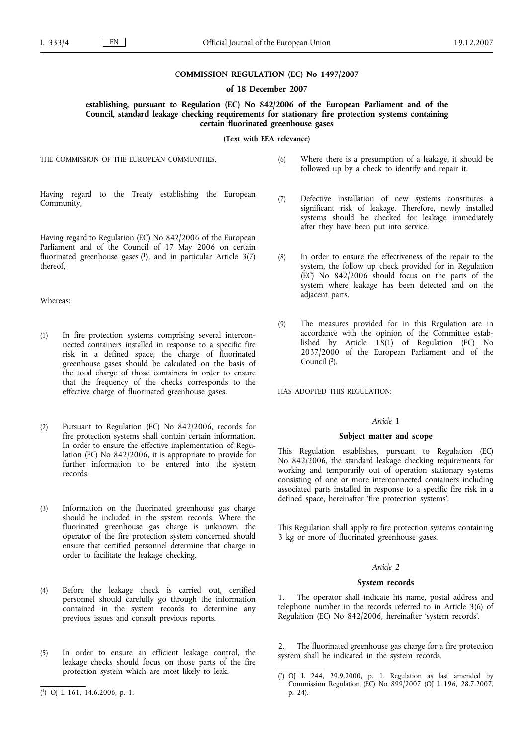# **COMMISSION REGULATION (EC) No 1497/2007**

**of 18 December 2007**

# **establishing, pursuant to Regulation (EC) No 842/2006 of the European Parliament and of the Council, standard leakage checking requirements for stationary fire protection systems containing certain fluorinated greenhouse gases**

**(Text with EEA relevance)**

THE COMMISSION OF THE EUROPEAN COMMUNITIES,

Having regard to the Treaty establishing the European Community,

Having regard to Regulation (EC) No 842/2006 of the European Parliament and of the Council of 17 May 2006 on certain fluorinated greenhouse gases  $(1)$ , and in particular Article 3(7) thereof,

Whereas:

- (1) In fire protection systems comprising several interconnected containers installed in response to a specific fire risk in a defined space, the charge of fluorinated greenhouse gases should be calculated on the basis of the total charge of those containers in order to ensure that the frequency of the checks corresponds to the effective charge of fluorinated greenhouse gases.
- (2) Pursuant to Regulation (EC) No 842/2006, records for fire protection systems shall contain certain information. In order to ensure the effective implementation of Regulation (EC) No 842/2006, it is appropriate to provide for further information to be entered into the system records.
- (3) Information on the fluorinated greenhouse gas charge should be included in the system records. Where the fluorinated greenhouse gas charge is unknown, the operator of the fire protection system concerned should ensure that certified personnel determine that charge in order to facilitate the leakage checking.
- (4) Before the leakage check is carried out, certified personnel should carefully go through the information contained in the system records to determine any previous issues and consult previous reports.
- (5) In order to ensure an efficient leakage control, the leakage checks should focus on those parts of the fire protection system which are most likely to leak.
- (6) Where there is a presumption of a leakage, it should be followed up by a check to identify and repair it.
- (7) Defective installation of new systems constitutes a significant risk of leakage. Therefore, newly installed systems should be checked for leakage immediately after they have been put into service.
- (8) In order to ensure the effectiveness of the repair to the system, the follow up check provided for in Regulation (EC) No 842/2006 should focus on the parts of the system where leakage has been detected and on the adjacent parts.
- (9) The measures provided for in this Regulation are in accordance with the opinion of the Committee established by Article 18(1) of Regulation (EC) No 2037/2000 of the European Parliament and of the Council (2),

HAS ADOPTED THIS REGULATION:

# *Article 1*

### **Subject matter and scope**

This Regulation establishes, pursuant to Regulation (EC) No 842/2006, the standard leakage checking requirements for working and temporarily out of operation stationary systems consisting of one or more interconnected containers including associated parts installed in response to a specific fire risk in a defined space, hereinafter 'fire protection systems'.

This Regulation shall apply to fire protection systems containing 3 kg or more of fluorinated greenhouse gases.

## *Article 2*

#### **System records**

1. The operator shall indicate his name, postal address and telephone number in the records referred to in Article 3(6) of Regulation (EC) No 842/2006, hereinafter 'system records'.

2. The fluorinated greenhouse gas charge for a fire protection system shall be indicated in the system records.

<sup>(</sup> 1) OJ L 161, 14.6.2006, p. 1.

<sup>(</sup> 2) OJ L 244, 29.9.2000, p. 1. Regulation as last amended by Commission Regulation (EC) No 899/2007 (OJ L 196, 28.7.2007, p. 24).